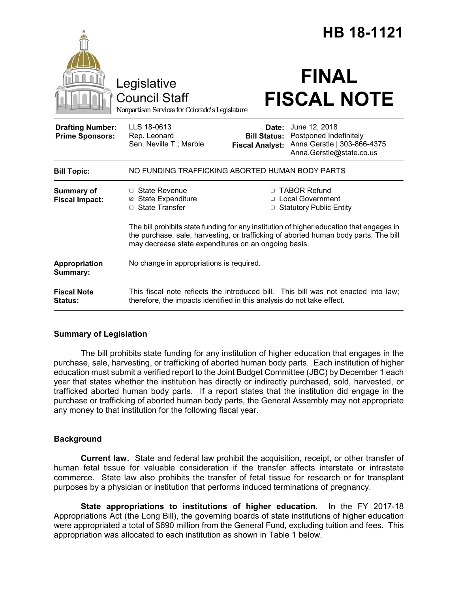|                                                   |                                                                                                                                                                                                                                          |                                                        | HB 18-1121                                                                                         |
|---------------------------------------------------|------------------------------------------------------------------------------------------------------------------------------------------------------------------------------------------------------------------------------------------|--------------------------------------------------------|----------------------------------------------------------------------------------------------------|
|                                                   | Legislative<br><b>Council Staff</b><br>Nonpartisan Services for Colorado's Legislature                                                                                                                                                   |                                                        | <b>FINAL</b><br><b>FISCAL NOTE</b>                                                                 |
| <b>Drafting Number:</b><br><b>Prime Sponsors:</b> | LLS 18-0613<br>Rep. Leonard<br>Sen. Neville T.; Marble                                                                                                                                                                                   | Date:<br><b>Bill Status:</b><br><b>Fiscal Analyst:</b> | June 12, 2018<br>Postponed Indefinitely<br>Anna Gerstle   303-866-4375<br>Anna.Gerstle@state.co.us |
| <b>Bill Topic:</b>                                | NO FUNDING TRAFFICKING ABORTED HUMAN BODY PARTS                                                                                                                                                                                          |                                                        |                                                                                                    |
| Summary of<br><b>Fiscal Impact:</b>               | $\Box$ State Revenue<br><b>⊠</b> State Expenditure<br>□ State Transfer                                                                                                                                                                   | □                                                      | □ TABOR Refund<br><b>Local Government</b><br>□ Statutory Public Entity                             |
|                                                   | The bill prohibits state funding for any institution of higher education that engages in<br>the purchase, sale, harvesting, or trafficking of aborted human body parts. The bill<br>may decrease state expenditures on an ongoing basis. |                                                        |                                                                                                    |
| Appropriation<br>Summary:                         | No change in appropriations is required.                                                                                                                                                                                                 |                                                        |                                                                                                    |
| <b>Fiscal Note</b><br><b>Status:</b>              | This fiscal note reflects the introduced bill. This bill was not enacted into law;<br>therefore, the impacts identified in this analysis do not take effect.                                                                             |                                                        |                                                                                                    |

# **Summary of Legislation**

The bill prohibits state funding for any institution of higher education that engages in the purchase, sale, harvesting, or trafficking of aborted human body parts. Each institution of higher education must submit a verified report to the Joint Budget Committee (JBC) by December 1 each year that states whether the institution has directly or indirectly purchased, sold, harvested, or trafficked aborted human body parts. If a report states that the institution did engage in the purchase or trafficking of aborted human body parts, the General Assembly may not appropriate any money to that institution for the following fiscal year.

# **Background**

**Current law.** State and federal law prohibit the acquisition, receipt, or other transfer of human fetal tissue for valuable consideration if the transfer affects interstate or intrastate commerce. State law also prohibits the transfer of fetal tissue for research or for transplant purposes by a physician or institution that performs induced terminations of pregnancy.

**State appropriations to institutions of higher education.** In the FY 2017-18 Appropriations Act (the Long Bill), the governing boards of state institutions of higher education were appropriated a total of \$690 million from the General Fund, excluding tuition and fees. This appropriation was allocated to each institution as shown in Table 1 below.